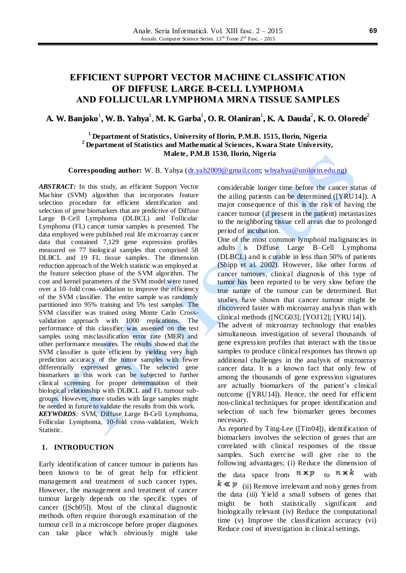# **EFFICIENT SUPPORT VECTOR MACHINE CLASSIFICATION OF DIFFUSE LARGE B-CELL LYMPHOMA AND FOLLICULAR LYMPHOMA MRNA TISSUE SAMPLES**

# A. W. Banjoko $^1$ , W. B. Yahya $^1$ , M. K. Garba $^1$ , O. R. Olaniran $^1$ , K. A. Dauda $^2$ , K. O. Olorede $^2$

# **<sup>1</sup>Department of Statistics, University of Ilorin, P.M.B. 1515, Ilorin, Nigeria <sup>2</sup>Department of Statistics and Mathematical Sciences, Kwara State University, Malete, P.M.B 1530, Ilorin, Nigeria**

**Corresponding author:** W. B. Yahya [\(dr.yah2009@gmail.com;](mailto:dr.yah2009@gmail.com) [wbyahya@unilorin.edu.ng\)](mailto:wbyahya@unilorin.edu.ng)

*ABSTRACT:* In this study, an efficient Support Vector Machine (SVM) algorithm that incorporates feature selection procedure for efficient identification and selection of gene biomarkers that are predictive of Diffuse Large B–Cell Lymphoma (DLBCL) and Follicular Lymphoma (FL) cancer tumor samples is presented. The data employed were published real life microarray cancer data that contained 7,129 gene expression profiles measured on 77 biological samples that comprised 58 DLBCL and 19 FL tissue samples. The dimension reduction approach of the Welch statistic was employed at the feature selection phase of the SVM algorithm. The cost and kernel parameters of the SVM model were tuned over a 10–fold cross-validation to improve the efficiency of the SVM classifier. The entire sample was randomly partitioned into 95% training and 5% test samples. The SVM classifier was trained using Monte Carlo Crossvalidation approach with 1000 replications. The performance of this classifier was assessed on the test samples using misclassification error rate (MER) and other performance measures. The results showed that the SVM classifier is quite efficient by yielding very high prediction accuracy of the tumor samples with fewer differentially expressed genes. The selected gene biomarkers in this work can be subjected to further clinical screening for proper determination of their biological relationship with DLBCL and FL tumour subgroups. However, more studies with large samples might be needed in future to validate the results from this work. *KEYWORDS:* SVM, Diffuse Large B-Cell Lymphoma, Follicular Lymphoma, 10-fold cross-validation, Welch Statistic.

# **1. INTRODUCTION**

Early identification of cancer tumour in patients has been known to be of great help for efficient management and treatment of such cancer types. However, the management and treatment of cancer tumour largely depends on the specific types of cancer ([Sch05]). Most of the clinical diagnostic methods often require thorough examination of the tumour cell in a microscope before proper diagnoses can take place which obviously might take considerable longer time before the cancer status of the ailing patients can be determined ([YRU14]). A major consequence of this is the risk of having the cancer tumour (if present in the patient) metastasizes to the neighboring tissue cell areas due to prolonged period of incubation.

One of the most common lymphoid malignancies in adults is Diffuse Large B–Cell Lymphoma (DLBCL) and is curable in less than 50% of patients (Shipp et al. 2002). However, like other forms of cancer tumours, clinical diagnosis of this type of tumor has been reported to be very slow before the true nature of the tumour can be determined. But studies have shown that cancer tumour might be discovered faster with microarray analysis than with clinical methods ([NCG03]; [YOJ12]; [YRU14]).

The advent of microarray technology that enables simultaneous investigation of several thousands of gene expression profiles that interact with the tissue samples to produce clinical responses has thrown up additional challenges in the analysis of microarray cancer data. It is a known fact that only few of among the thousands of gene expression signatures are actually biomarkers of the patient's clinical outcome ([YRU14]). Hence, the need for efficient non-clinical techniques for proper identification and selection of such few biomarker genes becomes necessary.

As reported by Ting-Lee ([Tin04]), identification of biomarkers involves the selection of genes that are correlated with clinical responses of the tissue samples. Such exercise will give rise to the following advantages; (i) Reduce the dimension of

the data space from  $n \times p$  to  $n \times k$  with

 $k \ll p$  (ii) Remove irrelevant and noisy genes from the data (iii) Yield a small subsets of genes that might be both statistically significant and biologically relevant (iv) Reduce the computational time (v) Improve the classification accuracy (vi) Reduce cost of investigation in clinical settings.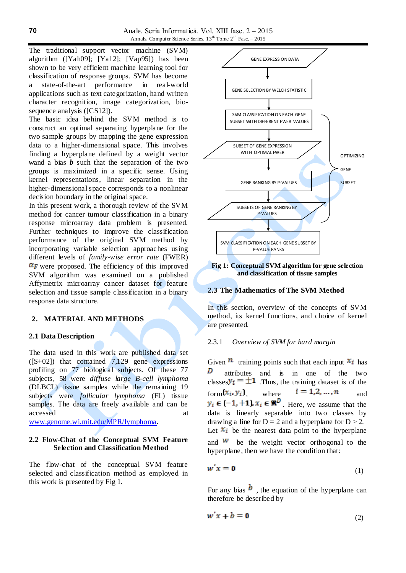The traditional support vector machine (SVM) algorithm ([Yah09]; [Ya12]; [Vap95]) has been shown to be very efficient machine learning tool for classification of response groups. SVM has become a state-of-the-art performance in real-world applications such as text categorization, hand written character recognition, image categorization, biosequence analysis ([CS12]).

The basic idea behind the SVM method is to construct an optimal separating hyperplane for the two sample groups by mapping the gene expression data to a higher-dimensional space. This involves finding a hyperplane defined by a weight vector *w*and a bias *b* such that the separation of the two groups is maximized in a specific sense. Using kernel representations, linear separation in the higher-dimensional space corresponds to a nonlinear decision boundary in the original space.

In this present work, a thorough review of the SVM method for cancer tumour classification in a binary response microarray data problem is presented. Further techniques to improve the classification performance of the original SVM method by incorporating variable selection approaches using different levels of *family-wise error rate* (FWER)  $\alpha_F$  were proposed. The efficiency of this improved SVM algorithm was examined on a published Affymetrix microarray cancer dataset for feature selection and tissue sample classification in a binary response data structure.

## **2. MATERIAL AND METHODS**

## **2.1 Data Description**

The data used in this work are published data set  $([S+02])$  [that contained 7,129](http://www.genome.wi.mit.edu/MPR/lymphoma%20or%20from%20https:/github.com/ramhiser/%20datamicroarray/wiki/Shipp-(2002).%20%20%20that%20contains%207,129) gene expressions profiling on 77 biological subjects. Of these 77 subjects, 58 were *diffuse large B-cell lymphoma*  (DLBCL) tissue samples while the remaining 19 subjects were *follicular lymphoma* (FL) tissue samples. The data are freely available and can be accessed at a strong at a strong at a strong at a strong at a strong at a strong at a strong at a strong at a strong at a strong at a strong at a strong at a strong at a strong at a strong at a strong at a strong at a stro

[www.genome.wi.mit.edu/MPR/lymphoma.](http://www.genome.wi.mit.edu/MPR/lymphoma)

# **2.2 Flow-Chat of the Conceptual SVM Feature Selection and Classification Method**

The flow-chat of the conceptual SVM feature selected and classification method as employed in this work is presented by Fig 1.



#### **Fig 1: Conceptual SVM algorithm for gene selection and classification of tissue samples**

## **2.3 The Mathematics of The SVM Method**

In this section, overview of the concepts of SVM method, its kernel functions, and choice of kernel are presented.

#### 2.3.1 *Overview of SVM for hard margin*

Given  $\mathbf{n}$  training points such that each input  $\mathbf{x}_i$  has D attributes and is in one of the two classes  $y_i = \pm 1$ . Thus, the training dataset is of the form  $\{x_i, y_i\}$  where  $i = 1, 2, ..., n$  and  $y_i \in \{-1, +1\}$ ,  $x_i \in \mathbb{R}^D$ . Here, we assume that the data is linearly separable into two classes by drawing a line for  $D = 2$  and a hyperplane for  $D > 2$ . Let  $x_i$  be the nearest data point to the hyperplane and  $\mathbf{w}$  be the weight vector orthogonal to the hyperplane, then we have the condition that:

$$
w'x = 0 \tag{1}
$$

For any bias  $\mathbf{b}$ , the equation of the hyperplane can therefore be described by

$$
w'x + b = \mathbf{0} \tag{2}
$$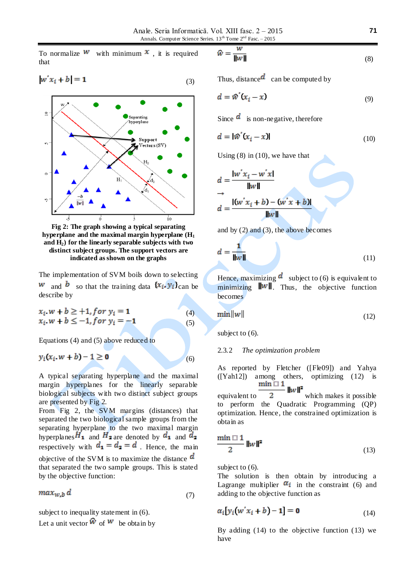To normalize **W** with minimum  $x$ , it is required that

$$
w'x_i + b| = 1 \tag{3}
$$



**Fig 2: The graph showing a typical separating hyperplane and the maximal margin hyperplane (H<sup>1</sup> and H2) for the linearly separable subjects with two distinct subject groups. The support vectors are indicated as shown on the graphs**

The implementation of SVM boils down to selecting **w** and **b** so that the training data  $\{x_i, y_i\}$ can be describe by

$$
x_i. w + b \ge +1, for \ y_i = 1
$$
  
\n
$$
x_i. w + b \le -1, for \ y_i = -1
$$
 (4)  
\n(5)

Equations (4) and (5) above reduced to

$$
y_i(x_i \cdot w + b) - 1 \ge 0 \tag{6}
$$

A typical separating hyperplane and the maximal margin hyperplanes for the linearly separable biological subjects with two distinct subject groups are presented by Fig 2.

From Fig 2, the SVM margins (distances) that separated the two biological sample groups from the separating hyperplane to the two maximal margin hyperplanes  $H_1$  and  $H_2$  are denoted by  $d_1$  and  $d_2$ respectively with  $d_1 = d_2 = d$ . Hence, the main objective of the SVM is to maximize the distance  $\boldsymbol{d}$ that separated the two sample groups. This is stated by the objective function:

$$
max_{W,b} d \tag{7}
$$

subject to inequality statement in (6).

Let a unit vector  $\hat{w}$  of  $w$  be obtain by

$$
\widehat{w} = \frac{w}{\|w\|} \tag{8}
$$

Thus, distance  $d$  can be computed by

$$
d = \mathcal{W}'(x_i - x) \tag{9}
$$

Since  $\overline{d}$  is non-negative, therefore

$$
d = |\mathbf{\hat{w}}'(\mathbf{x}_i - \mathbf{x})| \tag{10}
$$

Using  $(8)$  in  $(10)$ , we have that

$$
d = \frac{\vert w'x_i - w'x \vert}{\Vert w \Vert}
$$
  
\n
$$
d = \frac{\vert (w'x_i + b) - (w'x + b) \vert}{\Vert w \Vert}
$$

and by (2) and (3), the above becomes

$$
d = \frac{1}{\|\mathbf{w}\|} \tag{11}
$$

Hence, maximizing  $\boldsymbol{d}$  subject to (6) is equivalent to minimizing  $\|w\|$ . Thus, the objective function becomes

$$
\min \|w\| \tag{12}
$$

subject to  $(6)$ .

## 2.3.2 *The optimization problem*

As reported by Fletcher ([Fle09]) and Yahya ([Yah12]) among others, optimizing (12) is<br>min  $\Box$  1  $|w|^2$ 

equivalent to  $2$  which makes it possible to perform the Quadratic Programming (QP) optimization. Hence, the constrained optimization is obtain as

$$
\frac{\min \Box 1}{2} \|w\|^2 \tag{13}
$$

subject to  $(6)$ .

The solution is then obtain by introducing a Lagrange multiplier  $\alpha_i$  in the constraint (6) and adding to the objective function as

$$
\alpha_i[y_i(w'x_i + b) - 1] = 0 \tag{14}
$$

By adding (14) to the objective function (13) we have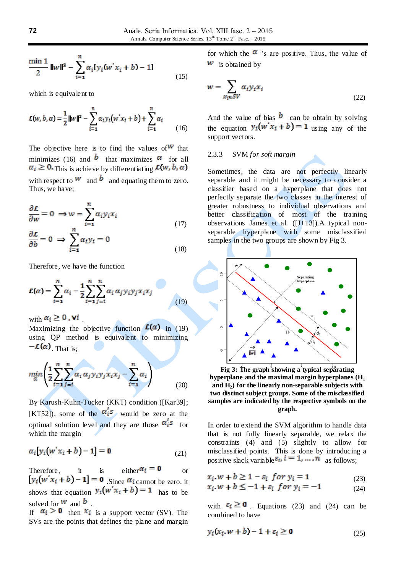$$
\frac{\min 1}{2} \|w\|^2 - \sum_{i=1}^n \alpha_i [y_i(w'x_i + b) - 1]
$$
\n(15)

which is equivalent to

$$
\mathcal{L}(w, b, a) = \frac{1}{2} ||w||^2 - \sum_{i=1}^n \alpha_i y_i (w'x_i + b) + \sum_{i=1}^n \alpha_i
$$
 (16)

The objective here is to find the values of  $W$  that minimizes (16) and **b** that maximizes  $\alpha$  for all  $\alpha_i \geq 0$ . This is achieve by differentiating  $\mathcal{L}(w, b, \alpha)$ with respect to  $w$  and  $b$  and equating them to zero. Thus, we have;

$$
\frac{\partial \mathcal{L}}{\partial w} = 0 \implies w = \sum_{i=1}^{n} \alpha_i y_i x_i
$$
\n
$$
\frac{\partial \mathcal{L}}{\partial b} = 0 \implies \sum_{i=1}^{n} \alpha_i y_i = 0
$$
\n(17)

Therefore, we have the function

$$
\mathcal{L}(\alpha) = \sum_{i=1}^{n} \alpha_i - \frac{1}{2} \sum_{i=1}^{n} \sum_{j=i}^{n} \alpha_i \alpha_j y_i y_j x_i x_j \tag{19}
$$

with  $\alpha_i \geq 0$ , **v**i

Maximizing the objective function  $\mathcal{L}(\alpha)$  in (19) using QP method is equivalent to minimizing  $-\mathcal{L}(\alpha)$  That is:

$$
\min_{\alpha} \left( \frac{1}{2} \sum_{i=1}^{n} \sum_{j=i}^{n} \alpha_i \alpha_j y_i y_j x_i x_j - \sum_{i=1}^{n} \alpha_i \right) \tag{20}
$$

By Karush-Kuhn-Tucker (KKT) condition ([Kar39]; [KT52]), some of the  $\alpha_1^s$  would be zero at the optimal solution level and they are those  $\alpha_i^s$  for which the margin

$$
\alpha_i[y_i(w'x_i + b) - 1] = \mathbf{0} \tag{21}
$$

Therefore, it is either  $\alpha_i = \mathbf{0}$  or  $[y_i(w'x_i + b) - 1] = 0$  Since  $\alpha_i$  cannot be zero, it shows that equation  $y_i(w'x_i + b) = 1$  has to be solved for  $w$  and  $b$ .

If  $\alpha_i > 0$  then  $x_i$  is a support vector (SV). The SVs are the points that defines the plane and margin for which the  $\alpha$  's are positive. Thus, the value of  $w$  is obtained by

$$
w = \sum_{x_i \in SV} \alpha_i y_i x_i \tag{22}
$$

And the value of bias  $\boldsymbol{b}$  can be obtain by solving the equation  $y_i(w'x_i + b) = 1$  using any of the support vectors.

## 2.3.3 SVM *for soft margin*

Sometimes, the data are not perfectly linearly separable and it might be necessary to consider a classifier based on a hyperplane that does not perfectly separate the two classes in the interest of greater robustness to individual observations and better classification of most of the training observations James et al. ([J+13]).A typical nonseparable hyperplane with some misclassified samples in the two groups are shown by Fig 3.



Fig 3: The graph<sup>°</sup>showing a<sup>3</sup>typical separating **hyperplane and the maximal margin hyperplanes (H<sup>1</sup> and H2) for the linearly non-separable subjects with two distinct subject groups. Some of the misclassified samples are indicated by the respective symbols on the graph.**

In order to extend the SVM algorithm to handle data that is not fully linearly separable, we relax the constraints (4) and (5) slightly to allow for misclassified points. This is done by introducing a positive slack variable  $\varepsilon_i$ ,  $i = 1, ..., n$  as follows;

$$
x_i \cdot w + b \ge 1 - \varepsilon_i \text{ for } y_i = 1 \tag{23}
$$

$$
x_i \cdot w + b \le -1 + \varepsilon_i \text{ for } y_i = -1 \tag{24}
$$

with  $\varepsilon_i \ge 0$  Equations (23) and (24) can be combined to have

$$
y_i(x_i \cdot w + b) - 1 + \varepsilon_i \ge 0 \tag{25}
$$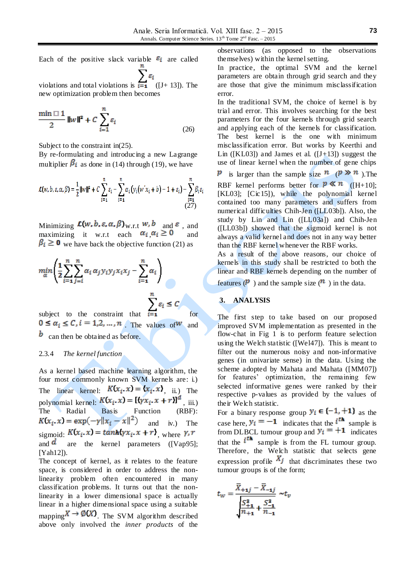Each of the positive slack variable  $\epsilon_i$  are called  $\sum \varepsilon_i$ 

violations and total violations is  $\overline{i} = 1$  ([J+ 13]). The new optimization problem then becomes

$$
\frac{\min \Box 1}{2} \|\mathbf{w}\|^2 + C \sum_{i=1}^n \varepsilon_i
$$
 (26)

Subject to the constraint in(25).

By re-formulating and introducing a new Lagrange multiplier  $\beta_i$  as done in (14) through (19), we have

$$
\mathcal{L}(w,b,\varepsilon,\alpha,\beta) = \frac{1}{2} ||w||^2 + C \sum_{i=1}^n \varepsilon_i - \sum_{i=1}^n \alpha_i (y_i(w'x_i + b) - 1 + \varepsilon_i) - \sum_{i=1}^n \beta_i \varepsilon_i
$$
\n(27)

Minimizing  $\mathcal{L}(w, b, \varepsilon, \alpha, \beta)_{\text{W.r.t}} w, b_{\text{and}} \varepsilon$ , and maximizing it w.r.t each  $\alpha_i, \alpha_i \ge 0$  and  $\beta_i \geq 0$  we have back the objective function (21) as

$$
\min_{\alpha} \left( \frac{1}{2} \sum_{i=1}^{n} \sum_{j=i}^{n} \alpha_i \alpha_j y_i y_j x_i x_j - \sum_{i=1}^{n} \alpha_i \right)
$$
\n
$$
\sum_{i=1}^{n} \varepsilon_i \le C
$$
\n
$$
\sum_{j=1}^{n} \varepsilon_j \le C
$$
\n
$$
\sum_{i=1}^{n} \varepsilon_i \le C
$$
\n
$$
\sum_{j=1}^{n} \varepsilon_j \le C
$$

. The values of  $w$  and  $\bm{b}$  can then be obtained as before.

## 2.3.4 *The kernel function*

As a kernel based machine learning algorithm, the four most commonly known SVM kernels are: i.) The linear kernel:  $K(x_i, x) = (x_i, x)$ , ii.) The polynomial kernel:  $K(x_i, x) = [(\gamma x_i, x + r)]^d$ , iii.) The Radial Basis Function (RBF):  $K(x_i, x) = \exp(-\gamma ||x_i - x||^2)$  and iv.) The sigmoid:  $K(x_i, x) = \frac{\tanh{\gamma x_i}}{x + r}$ , where  $\gamma, r$ and  $\overline{a}$  are the kernel parameters ([Vap95]; [Yah12]).

The concept of kernel, as it relates to the feature space, is considered in order to address the nonlinearity problem often encountered in many classification problems. It turns out that the nonlinearity in a lower dimensional space is actually linear in a higher dimensional space using a suitable mapping  $X \to \mathcal{O}(X)$ . The SVM algorithm described above only involved the *inner products* of the

observations (as opposed to the observations themselves) within the kernel setting.

In practice, the optimal SVM and the kernel parameters are obtain through grid search and they are those that give the minimum misclassification error.

In the traditional SVM, the choice of kernel is by trial and error. This involves searching for the best parameters for the four kernels through grid search and applying each of the kernels for classification. The best kernel is the one with minimum misclassification error. But works by Keerthi and Lin ([KL03]) and James et al. ( $[J+13]$ ) suggest the use of linear kernel when the number of gene chips

*p* is larger than the sample size  $n \times (p \times n)$ . The

RBF kernel performs better for  $p \ll n$  ([H+10]; [KL03]; [Cic15]), while the polynomial kernel contained too many parameters and suffers from numerical difficulties Chih-Jen ([LL03b]). Also, the study by Lin and Lin ([LL03a]) and Chih-Jen ([LL03b]) showed that the sigmoid kernel is not always a valid kernel and does not in any way better than the RBF kernel whenever the RBF works.

As a result of the above reasons, our choice of kernels in this study shall be restricted to both the linear and RBF kernels depending on the number of

features  $(P)$  and the sample size  $(P)$  in the data.

# **3. ANALYSIS**

The first step to take based on our proposed improved SVM implementation as presented in the flow-chat in Fig 1 is to perform feature selection using the Welch statistic ([Wel47]). This is meant to filter out the numerous noisy and non-informative genes (in univariate sense) in the data. Using the scheme adopted by Mahata and Mahata ([MM07]) for features' optimization, the remaining few selected informative genes were ranked by their respective p-values as provided by the values of their Welch statistic.

For a binary response group  $y_i \in \{-1, +1\}$  as the case here,  $y_i = -1$  indicates that the  $i^{th}$  sample is from DLBCL tumour group and  $y_i = +1$  indicates that the  $i<sup>th</sup>$  sample is from the FL tumour group. Therefore, the Welch statistic that selects gene expression profile  $X_j$  that discriminates these two tumour groups is of the form;

$$
t_{w} = \frac{\overline{X}_{+1j} - \overline{X}_{-1j}}{\sqrt{\frac{S_{+1}^{2}}{n_{+1}} + \frac{S_{-1}^{2}}{n_{-1}}}} \sim t_{v}
$$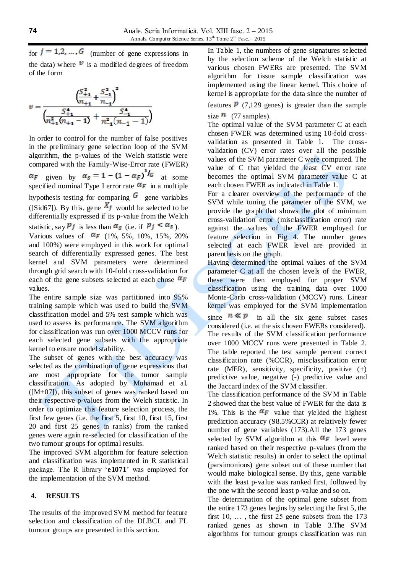for  $j = 1, 2, ..., G$  (number of gene expressions in the data) where  $\mathbf{v}$  is a modified degrees of freedom of the form

$$
v = \frac{\left(\frac{S_{+1}^2}{n_{+1}} + \frac{S_{-1}^2}{n_{-1}}\right)^2}{\left(\frac{S_{+1}^4}{n_{+1}^2(n_{+1} - 1)} + \frac{S_{-1}^4}{n_{-1}^2(n_{-1} - 1)}\right)}
$$

In order to control for the number of false positives in the preliminary gene selection loop of the SVM algorithm, the p-values of the Welch statistic were compared with the Family-Wise-Error rate (FWER) given by  $\alpha_s = 1 - (1 - \alpha_F)^{1/6}$  at some specified nominal Type I error rate  $\alpha_F$  in a multiple hypothesis testing for comparing  $\boldsymbol{G}$  gene variables ([Sid67]). By this, gene  $X_j$  would be selected to be differentially expressed if its p-value from the Welch statistic, say  $Pj$  is less than  $\alpha_s$  (i.e. if  $p_j < \alpha_s$ ). Various values of  $\alpha_F$  (1%, 5%, 10%, 15%, 20%)

and 100%) were employed in this work for optimal search of differentially expressed genes. The best kernel and SVM parameters were determined through grid search with 10-fold cross-validation for each of the gene subsets selected at each chose  $\alpha_F$ values.

The entire sample size was partitioned into 95% training sample which was used to build the SVM classification model and 5% test sample which was used to assess its performance. The SVM algorithm for classification was run over 1000 MCCV runs for each selected gene subsets with the appropriate kernel to ensure model stability.

The subset of genes with the best accuracy was selected as the combination of gene expressions that are most appropriate for the tumor sample classification. As adopted by Mohamad et al.  $([M+07])$ , this subset of genes was ranked based on their respective p-values from the Welch statistic. In order to optimize this feature selection process, the first few genes (i.e. the first 5, first 10, first 15, first 20 and first 25 genes in ranks) from the ranked genes were again re-selected for classification of the two tumour groups for optimal results.

The improved SVM algorithm for feature selection and classification was implemented in R statistical package. The R library '**e1071**' was employed for the implementation of the SVM method.

# **4. RESULTS**

The results of the improved SVM method for feature selection and classification of the DLBCL and FL tumour groups are presented in this section.

In Table 1, the numbers of gene signatures selected by the selection scheme of the Welch statistic at various chosen FWERs are presented. The SVM algorithm for tissue sample classification was implemented using the linear kernel. This choice of kernel is appropriate for the data since the number of

features  $\boldsymbol{p}$  (7,129 genes) is greater than the sample size  $\frac{n}{77}$  (77 samples).

The optimal value of the SVM parameter C at each chosen FWER was determined using 10-fold crossvalidation as presented in Table 1. The crossvalidation (CV) error rates over all the possible values of the SVM parameter C were computed. The value of C that yielded the least CV error rate becomes the optimal SVM parameter value C at each chosen FWER as indicated in Table 1.

For a clearer overview of the performance of the SVM while tuning the parameter of the SVM, we provide the graph that shows the plot of minimum cross-validation error (misclassification error) rate against the values of the FWER employed for feature selection in Fig 4. The number genes selected at each FWER level are provided in parenthesis on the graph.

Having determined the optimal values of the SVM parameter C at all the chosen levels of the FWER, these were then employed for proper SVM classification using the training data over 1000 Monte-Carlo cross-validation (MCCV) runs. Linear kernel was employed for the SVM implementation

since  $n \ll p$  in all the six gene subset cases considered (i.e. at the six chosen FWERs considered). The results of the SVM classification performance over 1000 MCCV runs were presented in Table 2. The table reported the test sample percent correct classification rate (%CCR), misclassification error rate (MER), sensitivity, specificity, positive (+) predictive value, negative (-) predictive value and the Jaccard index of the SVM classifier.

The classification performance of the SVM in Table 2 showed that the best value of FWER for the data is 1%. This is the  $\alpha_F$  value that yielded the highest prediction accuracy (98.5%CCR) at relatively fewer number of gene variables (173).All the 173 genes selected by SVM algorithm at this  $\alpha_F$  level were ranked based on their respective p-values (from the Welch statistic results) in order to select the optimal (parsimonious) gene subset out of these number that would make biological sense. By this, gene variable with the least p-value was ranked first, followed by the one with the second least p-value and so on.

The determination of the optimal gene subset from the entire 173 genes begins by selecting the first 5, the first 10, … , the first 25 gene subsets from the 173 ranked genes as shown in Table 3.The SVM algorithms for tumour groups classification was run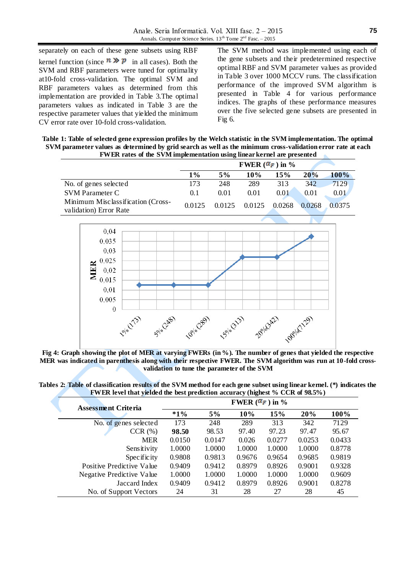separately on each of these gene subsets using RBF kernel function (since  $\hat{n} \gg \hat{p}$  in all cases). Both the SVM and RBF parameters were tuned for optimality at10-fold cross-validation. The optimal SVM and RBF parameters values as determined from this implementation are provided in Table 3.The optimal parameters values as indicated in Table 3 are the respective parameter values that yielded the minimum CV error rate over 10-fold cross-validation.

The SVM method was implemented using each of the gene subsets and their predetermined respective optimal RBF and SVM parameter values as provided in Table 3 over 1000 MCCV runs. The classification performance of the improved SVM algorithm is presented in Table 4 for various performance indices. The graphs of these performance measures over the five selected gene subsets are presented in Fig 6.

**Table 1: Table of selected gene expression profiles by the Welch statistic in the SVM implementation. The optimal SVM parameter values as determined by grid search as well as the minimum cross-validation error rate at each FWER rates of the SVM implementation using linear kernel are presented**

|                                                             |        | FWER $(\alpha_F)$ in % |        |        |        |             |
|-------------------------------------------------------------|--------|------------------------|--------|--------|--------|-------------|
|                                                             | 1%     | 5%                     | 10%    | 15%    | 20%    | <b>100%</b> |
| No. of genes selected                                       | 173    | 248                    | 289    | 313    | 342    | 7129        |
| <b>SVM Parameter C</b>                                      | 0.1    | 0.01                   | 0.01   | 0.01   | 0.01   | 0.01        |
| Minimum Misclassification (Cross-<br>validation) Error Rate | 0.0125 | 0.0125                 | 0.0125 | 0.0268 | 0.0268 | 0.0375      |
|                                                             |        |                        |        |        |        |             |



**Fig 4: Graph showing the plot of MER at varying FWERs (in %). The number of genes that yielded the respective MER was indicated in parenthesis along with their respective FWER. The SVM algorithm was run at 10-fold crossvalidation to tune the parameter of the SVM**

| <b>Assessment Criteria</b> | FWER $(\alpha_F)$ in % |        |        |        |        |        |  |
|----------------------------|------------------------|--------|--------|--------|--------|--------|--|
|                            | $*1%$                  | 5%     | 10%    | 15%    | 20%    | 100%   |  |
| No. of genes selected      | 173                    | 248    | 289    | 313    | 342    | 7129   |  |
| CCR(%)                     | 98.50                  | 98.53  | 97.40  | 97.23  | 97.47  | 95.67  |  |
| <b>MER</b>                 | 0.0150                 | 0.0147 | 0.026  | 0.0277 | 0.0253 | 0.0433 |  |
| Sensitivity                | 1.0000                 | 1.0000 | 1.0000 | 1.0000 | 1.0000 | 0.8778 |  |
| Specificity                | 0.9808                 | 0.9813 | 0.9676 | 0.9654 | 0.9685 | 0.9819 |  |
| Positive Predictive Value  | 0.9409                 | 0.9412 | 0.8979 | 0.8926 | 0.9001 | 0.9328 |  |
| Negative Predictive Value  | 1.0000                 | 1.0000 | 1.0000 | 1.0000 | 1.0000 | 0.9609 |  |
| Jaccard Index              | 0.9409                 | 0.9412 | 0.8979 | 0.8926 | 0.9001 | 0.8278 |  |
| No. of Support Vectors     | 24                     | 31     | 28     | 27     | 28     | 45     |  |

**Tables 2: Table of classification results of the SVM method for each gene subset using linear kernel. (\*) indicates the FWER level that yielded the best prediction accuracy (highest % CCR of 98.5%)**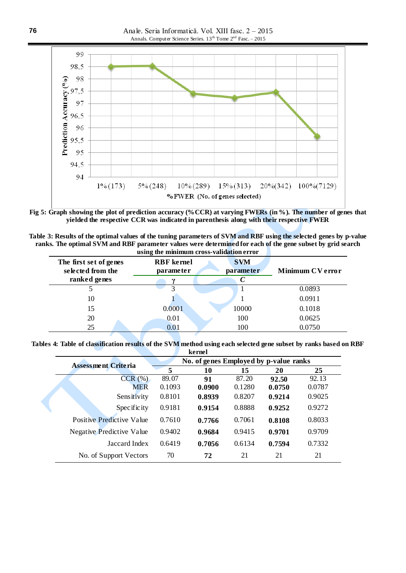Anale. Seria Informatică. Vol. XIII fasc. 2 – 2015 Annals. Computer Science Series.  $13^{th}$  Tome  $2^{nd}$  Fasc.  $-2015$ 



**Fig 5: Graph showing the plot of prediction accuracy (%CCR) at varying FWERs (in %). The number of genes that yielded the respective CCR was indicated in parenthesis along with their respective FWER**

| Table 3: Results of the optimal values of the tuning parameters of SVM and RBF using the selected genes by p-value |
|--------------------------------------------------------------------------------------------------------------------|
| ranks. The optimal SVM and RBF parameter values were determined for each of the gene subset by grid search         |
| riging the minimum enece velidation error                                                                          |

| The first set of genes<br>selected from the | <b>RBF</b> kernel<br>parameter | <b>SVM</b><br>parameter | <b>Minimum CV error</b> |
|---------------------------------------------|--------------------------------|-------------------------|-------------------------|
| ranked genes                                |                                |                         |                         |
|                                             |                                |                         | 0.0893                  |
| 10                                          |                                |                         | 0.0911                  |
| 15                                          | 0.0001                         | 10000                   | 0.1018                  |
| 20                                          | 0.01                           | 100                     | 0.0625                  |
| 25                                          | 0.01                           | 100                     | 0.0750                  |

**Tables 4: Table of classification results of the SVM method using each selected gene subset by ranks based on RBF kernel**

|                            |                                        | ncinci |        |        |        |  |
|----------------------------|----------------------------------------|--------|--------|--------|--------|--|
| <b>Assessment Criteria</b> | No. of genes Employed by p-value ranks |        |        |        |        |  |
|                            | 5                                      | 10     | 15     | 20     | 25     |  |
| CCR(%)                     | 89.07                                  | 91     | 87.20  | 92.50  | 92.13  |  |
| <b>MER</b>                 | 0.1093                                 | 0.0900 | 0.1280 | 0.0750 | 0.0787 |  |
| Sensitivity                | 0.8101                                 | 0.8939 | 0.8207 | 0.9214 | 0.9025 |  |
| Specificity                | 0.9181                                 | 0.9154 | 0.8888 | 0.9252 | 0.9272 |  |
| Positive Predictive Value  | 0.7610                                 | 0.7766 | 0.7061 | 0.8108 | 0.8033 |  |
| Negative Predictive Value  | 0.9402                                 | 0.9684 | 0.9415 | 0.9701 | 0.9709 |  |
| Jaccard Index              | 0.6419                                 | 0.7056 | 0.6134 | 0.7594 | 0.7332 |  |
| No. of Support Vectors     | 70                                     | 72     | 21     | 21     | 21     |  |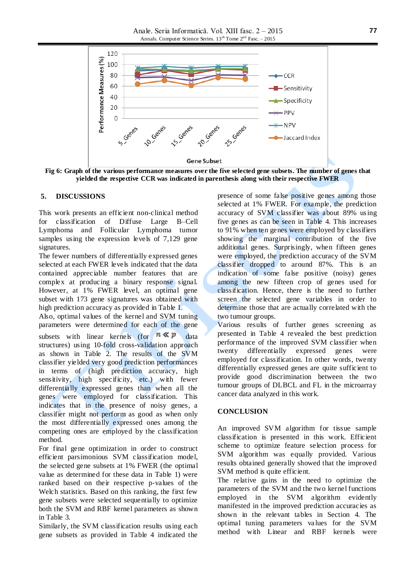Anale. Seria Informatică. Vol. XIII fasc. 2 – 2015 Annals. Computer Science Series.  $13^{th}$  Tome  $2^{nd}$  Fasc. – 2015



**Fig 6: Graph of the various performance measures over the five selected gene subsets. The number of genes that yielded the respective CCR was indicated in parenthesis along with their respective FWER**

#### **5. DISCUSSIONS**

This work presents an efficient non-clinical method for classification of Diffuse Large B–Cell Lymphoma and Follicular Lymphoma tumor samples using the expression levels of 7,129 gene signatures.

The fewer numbers of differentially expressed genes selected at each FWER levels indicated that the data contained appreciable number features that are complex at producing a binary response signal. However, at 1% FWER level, an optimal gene subset with 173 gene signatures was obtained with high prediction accuracy as provided in Table 1.

Also, optimal values of the kernel and SVM tuning parameters were determined for each of the gene subsets with linear kernels (for  $n \ll p$ ) data structures) using 10-fold cross-validation approach as shown in Table 2. The results of the SVM classifier yielded very good prediction performances in terms of (high prediction accuracy, high sensitivity, high specificity, etc.) with fewer differentially expressed genes than when all the genes were employed for classification. This indicates that in the presence of noisy genes, a classifier might not perform as good as when only the most differentially expressed ones among the competing ones are employed by the classification method.

For final gene optimization in order to construct efficient parsimonious SVM classification model, the selected gene subsets at 1% FWER (the optimal value as determined for these data in Table 1) were ranked based on their respective p-values of the Welch statistics. Based on this ranking, the first few gene subsets were selected sequentially to optimize both the SVM and RBF kernel parameters as shown in Table 3.

Similarly, the SVM classification results using each gene subsets as provided in Table 4 indicated the

presence of some false positive genes among those selected at 1% FWER. For example, the prediction accuracy of SVM classifier was about 89% using five genes as can be seen in Table 4. This increases to 91% when ten genes were employed by classifiers showing the marginal contribution of the five additional genes. Surprisingly, when fifteen genes were employed, the prediction accuracy of the SVM classifier dropped to around 87%. This is an indication of some false positive (noisy) genes among the new fifteen crop of genes used for classification. Hence, there is the need to further screen the selected gene variables in order to determine those that are actually correlated with the two tumour groups.

Various results of further genes screening as presented in Table 4 revealed the best prediction performance of the improved SVM classifier when twenty differentially expressed genes were employed for classification. In other words, twenty differentially expressed genes are quite sufficient to provide good discrimination between the two tumour groups of DLBCL and FL in the microarray cancer data analyzed in this work.

### **CONCLUSION**

An improved SVM algorithm for tissue sample classification is presented in this work. Efficient scheme to optimize feature selection process for SVM algorithm was equally provided. Various results obtained generally showed that the improved SVM method is quite efficient.

The relative gains in the need to optimize the parameters of the SVM and the two kernel functions employed in the SVM algorithm evidently manifested in the improved prediction accuracies as shown in the relevant tables in Section 4. The optimal tuning parameters va lues for the SVM method with Linear and RBF kernels were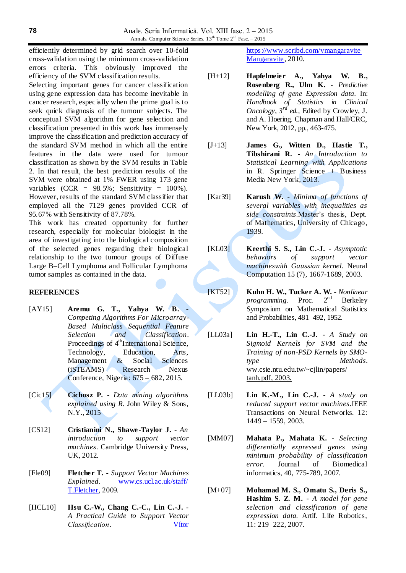efficiently determined by grid search over 10-fold cross-validation using the minimum cross-validation errors criteria. This obviously improved the efficiency of the SVM classification results.

Selecting important genes for cancer classification using gene expression data has become inevitable in cancer research, especially when the prime goal is to seek quick diagnosis of the tumour subjects. The conceptual SVM algorithm for gene selection and classification presented in this work has immensely improve the classification and prediction accuracy of the standard SVM method in which all the entire features in the data were used for tumour classification as shown by the SVM results in Table 2. In that result, the best prediction results of the SVM were obtained at 1% FWER using 173 gene variables  $(CCR = 98.5\%;$  Sensitivity = 100%). However, results of the standard SVM classifier that employed all the 7129 genes provided CCR of 95.67% with Sensitivity of 87.78%.

This work has created opportunity for further research, especially for molecular biologist in the area of investigating into the biological composition of the selected genes regarding their biological relationship to the two tumour groups of Diffuse Large B–Cell Lymphoma and Follicular Lymphoma tumor samples as contained in the data.

## **REFERENCES**

- [AY15] **Aremu G. T., Yahya W. B.** *Competing Algorithms For Microarray-Based Multiclass Sequential Feature Selection and Classification*. Proceedings of 4<sup>th</sup>International Science, Technology, Education, Arts, Management & Social Sciences (iSTEAMS) Research Nexus Conference*,* Nigeria: 675 – 682, 2015.
- [Cic15] **Cichosz P.** *Data mining algorithms explained using R*. John Wiley & Sons, N.Y., 2015
- [CS12] **Cristianini N., Shawe-Taylor J.** *An introduction to support vector machines*. Cambridge University Press, UK, 2012.
- [Fle09] **Fletcher T.** *Support Vector Machines Explained*. [www.cs.ucl.ac.uk/staff/](http://www.cs.ucl.ac.uk/staff/%20T.Fletcher)  [T.Fletcher,](http://www.cs.ucl.ac.uk/staff/%20T.Fletcher) 2009.
- [HCL10] **Hsu C.-W., Chang C.-C., Lin C.-J.** *A Practical Guide to Support Vector Classification*. [Vítor](https://www.scribd.com/vmangaravite)

<https://www.scribd.com/vmangaravite> [Mangaravite,](https://www.scribd.com/vmangaravite) 2010.

- [H+12] **Hapfelmeier A., Yahya W. B., Rosenberg R., Ulm K.** - *Predictive modelling of gene Expression data*. In: *Handbook of Statistics in Clinical Oncology*, *3 rd ed.,* Edited by Crowley, J. and A. Hoering. Chapman and Hall/CRC, New York, 2012, pp., 463-475.
- [J+13] **James G., Witten D., Hastie T., Tibshirani R.** - *An Introduction to Statistical Learning with Applications* in R. Springer Science + Business Media New York, 2013.
- [Kar39] **Karush W.** *Minima of functions of several variables with inequalities as side constraints*.Master's thesis, Dept. of Mathematics, University of Chicago, 1939.
- [KL03] **Keerthi S. S., Lin C.-J.** *Asymptotic behaviors of support vector machineswith Gaussian kernel*. Neural Computation 15 (7), 1667-1689, 2003.

[KT52] **Kuhn H. W., Tucker A. W.** - *Nonlinear programming*. Proc. Symposium on Mathematical Statistics and Probabilities, 481–492, 1952.

- [LL03a] **Lin H.-T., Lin C.-J.** *A Study on Sigmoid Kernels for SVM and the Training of non-PSD Kernels by SMOtype Methods*. ww.csie.ntu.edu.tw/~cjlin/papers/ tanh.pdf, 2003.
- [LL03b] **Lin K.-M., Lin C.-J.** *A study on reduced support vector machines*.IEEE Transactions on Neural Networks. 12: 1449 – 1559, 2003.
- [MM07] **Mahata P., Mahata K.** *Selecting differentially expressed genes using minimum probability of classification error*. Journal of Biomedical informatics, 40, 775-789, 2007.
- [M+07] **Mohamad M. S., Omatu S., Deris S., Hashim S. Z. M.** - *A model for gene selection and classification of gene expression data*. Artif. Life Robotics, 11: 219–222, 2007.